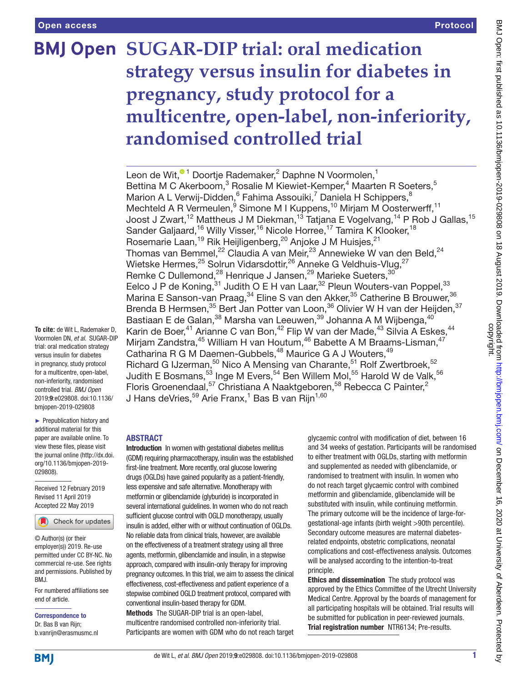# **BMJ Open SUGAR-DIP trial: oral medication strategy versus insulin for diabetes in pregnancy, study protocol for a multicentre, open-label, non-inferiority, randomised controlled trial**

Leonde Wit,<sup>® 1</sup> Doortje Rademaker,<sup>2</sup> Daphne N Voormolen,<sup>1</sup> Bettina M C Akerboom,<sup>3</sup> Rosalie M Kiewiet-Kemper,<sup>4</sup> Maarten R Soeters,<sup>5</sup> Marion A L Verwij-Didden, <sup>6</sup> Fahima Assouiki, <sup>7</sup> Daniela H Schippers, <sup>8</sup> Mechteld A R Vermeulen, <sup>9</sup> Simone M I Kuppens, <sup>10</sup> Mirjam M Oosterwerff, <sup>11</sup> Joost J Zwart,<sup>12</sup> Mattheus J M Diekman,<sup>13</sup> Tatjana E Vogelvang,<sup>14</sup> P Rob J Gallas,<sup>15</sup> Sander Galjaard,<sup>16</sup> Willy Visser,<sup>16</sup> Nicole Horree,<sup>17</sup> Tamira K Klooker,<sup>18</sup> Rosemarie Laan,<sup>19</sup> Rik Heijligenberg,<sup>20</sup> Anjoke J M Huisjes,<sup>21</sup> Thomas van Bemmel,<sup>22</sup> Claudia A van Meir,<sup>23</sup> Annewieke W van den Beld,<sup>24</sup> Wietske Hermes,<sup>25</sup> Solrun Vidarsdottir,<sup>26</sup> Anneke G Veldhuis-Vlug,<sup>27</sup> Remke C Dullemond,<sup>28</sup> Henrique J Jansen,<sup>29</sup> Marieke Sueters,<sup>30</sup> Eelco J P de Koning,<sup>31</sup> Judith O E H van Laar,<sup>32</sup> Pleun Wouters-van Poppel,<sup>33</sup> Marina E Sanson-van Praag,<sup>34</sup> Eline S van den Akker,<sup>35</sup> Catherine B Brouwer,<sup>36</sup> Brenda B Hermsen,<sup>35</sup> Bert Jan Potter van Loon,<sup>36</sup> Olivier W H van der Heijden,<sup>37</sup> Bastiaan E de Galan,<sup>38</sup> Marsha van Leeuwen,<sup>39</sup> Johanna A M Wijbenga,<sup>40</sup> Karin de Boer,<sup>41</sup> Arianne C van Bon,<sup>42</sup> Flip W van der Made,<sup>43</sup> Silvia A Eskes,<sup>44</sup> Mirjam Zandstra,<sup>45</sup> William H van Houtum,<sup>46</sup> Babette A M Braams-Lisman,<sup>47</sup> Catharina R G M Daemen-Gubbels,<sup>48</sup> Maurice G A J Wouters,<sup>49</sup> Richard G IJzerman,<sup>50</sup> Nico A Mensing van Charante,<sup>51</sup> Rolf Zwertbroek,<sup>52</sup> Judith E Bosmans, $^{53}$  Inge M Evers, $^{54}$  Ben Willem Mol, $^{55}$  Harold W de Valk, $^{56}$ Floris Groenendaal,<sup>57</sup> Christiana A Naaktgeboren,<sup>58</sup> Rebecca C Painter,<sup>2</sup> J Hans deVries,<sup>59</sup> Arie Franx,<sup>1</sup> Bas B van Rijn<sup>1,60</sup>

## ► Prepublication history and

additional material for this paper are available online. To view these files, please visit the journal online (http://dx.doi. org/10.1136/bmjopen-2019- 029808).

**To cite:** de Wit L, Rademaker D, Voormolen DN, *et al*. SUGAR-DIP trial: oral medication strategy versus insulin for diabetes in pregnancy, study protocol for a multicentre, open-label, non-inferiority, randomised controlled trial. *BMJ Open* 2019;9:e029808. doi:10.1136/ bmjopen-2019-029808

Received 12 February 2019 Revised 11 April 2019 Accepted 22 May 2019



© Author(s) (or their employer(s)) 2019. Re-use permitted under CC BY-NC. No commercial re-use. See rights and permissions. Published by BMJ.

For numbered affiliations see end of article.

Correspondence to Dr. Bas B van Rijn; b.vanrijn@erasmusmc.nl

#### **ABSTRACT**

Introduction In women with gestational diabetes mellitus (GDM) requiring pharmacotherapy, insulin was the established first-line treatment. More recently, oral glucose lowering drugs (OGLDs) have gained popularity as a patient-friendly, less expensive and safe alternative. Monotherapy with metformin or glibenclamide (glyburide) is incorporated in several international guidelines. In women who do not reach sufficient glucose control with OGLD monotherapy, usually insulin is added, either with or without continuation of OGLDs. No reliable data from clinical trials, however, are available on the effectiveness of a treatment strategy using all three agents, metformin, glibenclamide and insulin, in a stepwise approach, compared with insulin-only therapy for improving pregnancy outcomes. In this trial, we aim to assess the clinical effectiveness, cost-effectiveness and patient experience of a stepwise combined OGLD treatment protocol, compared with conventional insulin-based therapy for GDM.

Methods The SUGAR-DIP trial is an open-label, multicentre randomised controlled non-inferiority trial. Participants are women with GDM who do not reach target

glycaemic control with modification of diet, between 16 and 34 weeks of gestation. Participants will be randomised to either treatment with OGLDs, starting with metformin and supplemented as needed with glibenclamide, or randomised to treatment with insulin. In women who do not reach target glycaemic control with combined metformin and glibenclamide, glibenclamide will be substituted with insulin, while continuing metformin. The primary outcome will be the incidence of large-forgestational-age infants (birth weight >90th percentile). Secondary outcome measures are maternal diabetesrelated endpoints, obstetric complications, neonatal complications and cost-effectiveness analysis. Outcomes will be analysed according to the intention-to-treat principle.

Ethics and dissemination The study protocol was approved by the Ethics Committee of the Utrecht University Medical Centre. Approval by the boards of management for all participating hospitals will be obtained. Trial results will be submitted for publication in peer-reviewed journals. Trial registration number NTR6134; Pre-results.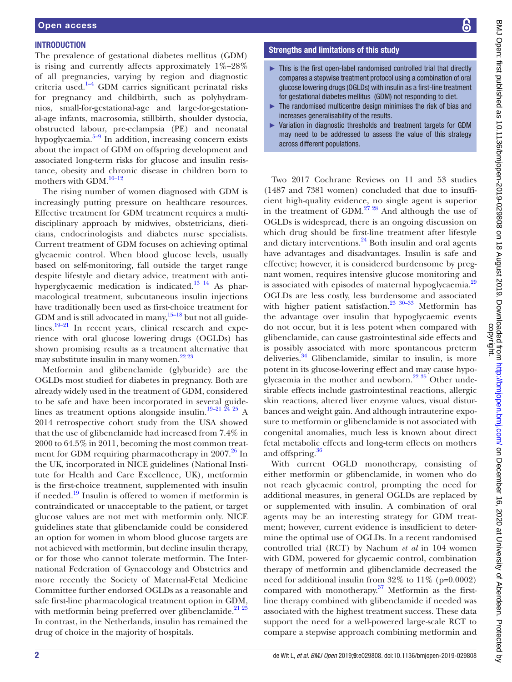#### **INTRODUCTION**

The prevalence of gestational diabetes mellitus (GDM) is rising and currently affects approximately 1%–28% of all pregnancies, varying by region and diagnostic criteria used.<sup>1-4</sup> GDM carries significant perinatal risks for pregnancy and childbirth, such as polyhydramnios, small-for-gestational-age and large-for-gestational-age infants, macrosomia, stillbirth, shoulder dystocia, obstructed labour, pre-eclampsia (PE) and neonatal hypoglycaemia. $5-9$  In addition, increasing concern exists about the impact of GDM on offspring development and associated long-term risks for glucose and insulin resistance, obesity and chronic disease in children born to mothers with GDM.<sup>10-12</sup>

The rising number of women diagnosed with GDM is increasingly putting pressure on healthcare resources. Effective treatment for GDM treatment requires a multidisciplinary approach by midwives, obstetricians, dieticians, endocrinologists and diabetes nurse specialists. Current treatment of GDM focuses on achieving optimal glycaemic control. When blood glucose levels, usually based on self-monitoring, fall outside the target range despite lifestyle and dietary advice, treatment with antihyperglycaemic medication is indicated[.13 14](#page-7-3) As pharmacological treatment, subcutaneous insulin injections have traditionally been used as first-choice treatment for GDM and is still advocated in many,  $15-18$  but not all guidelines. $19-21$  In recent years, clinical research and experience with oral glucose lowering drugs (OGLDs) has shown promising results as a treatment alternative that may substitute insulin in many women. $2223$ 

Metformin and glibenclamide (glyburide) are the OGLDs most studied for diabetes in pregnancy. Both are already widely used in the treatment of GDM, considered to be safe and have been incorporated in several guidelines as treatment options alongside insulin.[19–21 24 25](#page-8-1) A 2014 retrospective cohort study from the USA showed that the use of glibenclamide had increased from 7.4% in 2000 to 64.5% in 2011, becoming the most common treatment for GDM requiring pharmacotherapy in  $2007<sup>26</sup>$  In the UK, incorporated in NICE guidelines (National Institute for Health and Care Excellence, UK), metformin is the first-choice treatment, supplemented with insulin if needed. $19$  Insulin is offered to women if metformin is contraindicated or unacceptable to the patient, or target glucose values are not met with metformin only. NICE guidelines state that glibenclamide could be considered an option for women in whom blood glucose targets are not achieved with metformin, but decline insulin therapy, or for those who cannot tolerate metformin. The International Federation of Gynaecology and Obstetrics and more recently the Society of Maternal-Fetal Medicine Committee further endorsed OGLDs as a reasonable and safe first-line pharmacological treatment option in GDM, with metformin being preferred over glibenclamide. $21 25$ In contrast, in the Netherlands, insulin has remained the drug of choice in the majority of hospitals.

#### Strengths and limitations of this study

- ► This is the first open-label randomised controlled trial that directly compares a stepwise treatment protocol using a combination of oral glucose lowering drugs (OGLDs) with insulin as a first-line treatment for gestational diabetes mellitus (GDM) not responding to diet.
- ► The randomised multicentre design minimises the risk of bias and increases generalisability of the results.
- Variation in diagnostic thresholds and treatment targets for GDM may need to be addressed to assess the value of this strategy across different populations.

Two 2017 Cochrane Reviews on 11 and 53 studies (1487 and 7381 women) concluded that due to insufficient high-quality evidence, no single agent is superior in the treatment of GDM.<sup>27 28</sup> And although the use of OGLDs is widespread, there is an ongoing discussion on which drug should be first-line treatment after lifestyle and dietary interventions. $^{24}$  Both insulin and oral agents have advantages and disadvantages. Insulin is safe and effective; however, it is considered burdensome by pregnant women, requires intensive glucose monitoring and is associated with episodes of maternal hypoglycaemia.<sup>[29](#page-8-7)</sup> OGLDs are less costly, less burdensome and associated with higher patient satisfaction.<sup>[23 30–33](#page-8-8)</sup> Metformin has the advantage over insulin that hypoglycaemic events do not occur, but it is less potent when compared with glibenclamide, can cause gastrointestinal side effects and is possibly associated with more spontaneous preterm deliveries.<sup>34</sup> Glibenclamide, similar to insulin, is more potent in its glucose-lowering effect and may cause hypoglycaemia in the mother and newborn. $2235$  Other undesirable effects include gastrointestinal reactions, allergic skin reactions, altered liver enzyme values, visual disturbances and weight gain. And although intrauterine exposure to metformin or glibenclamide is not associated with congenital anomalies, much less is known about direct fetal metabolic effects and long-term effects on mothers and offspring.<sup>36</sup>

With current OGLD monotherapy, consisting of either metformin or glibenclamide, in women who do not reach glycaemic control, prompting the need for additional measures, in general OGLDs are replaced by or supplemented with insulin. A combination of oral agents may be an interesting strategy for GDM treatment; however, current evidence is insufficient to determine the optimal use of OGLDs. In a recent randomised controlled trial (RCT) by Nachum *et al* in 104 women with GDM, powered for glycaemic control, combination therapy of metformin and glibenclamide decreased the need for additional insulin from  $32\%$  to  $11\%$  (p=0.0002) compared with monotherapy. $37$  Metformin as the firstline therapy combined with glibenclamide if needed was associated with the highest treatment success. These data support the need for a well-powered large-scale RCT to compare a stepwise approach combining metformin and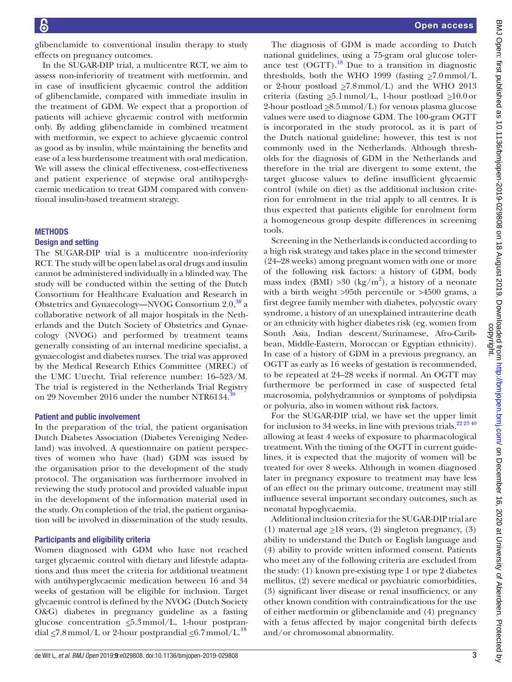glibenclamide to conventional insulin therapy to study effects on pregnancy outcomes.

In the SUGAR-DIP trial, a multicentre RCT, we aim to assess non-inferiority of treatment with metformin, and in case of insufficient glycaemic control the addition of glibenclamide, compared with immediate insulin in the treatment of GDM. We expect that a proportion of patients will achieve glycaemic control with metformin only. By adding glibenclamide in combined treatment with metformin, we expect to achieve glycaemic control as good as by insulin, while maintaining the benefits and ease of a less burdensome treatment with oral medication. We will assess the clinical effectiveness, cost-effectiveness and patient experience of stepwise oral antihyperglycaemic medication to treat GDM compared with conventional insulin-based treatment strategy.

#### **METHODS**

#### Design and setting

The SUGAR-DIP trial is a multicentre non-inferiority RCT. The study will be open label as oral drugs and insulin cannot be administered individually in a blinded way. The study will be conducted within the setting of the Dutch Consortium for Healthcare Evaluation and Research in Obstetrics and Gynaecology—NVOG Consortium 2.0,<sup>38</sup> a collaborative network of all major hospitals in the Netherlands and the Dutch Society of Obstetrics and Gynaecology (NVOG) and performed by treatment teams generally consisting of an internal medicine specialist, a gynaecologist and diabetes nurses. The trial was approved by the Medical Research Ethics Committee (MREC) of the UMC Utrecht. Trial reference number: 16–523/M. The trial is registered in the Netherlands Trial Registry on 29 November 2016 under the number NTR6134.

#### Patient and public involvement

In the preparation of the trial, the patient organisation Dutch Diabetes Association (Diabetes Vereniging Nederland) was involved. A questionnaire on patient perspectives of women who have (had) GDM was issued by the organisation prior to the development of the study protocol. The organisation was furthermore involved in reviewing the study protocol and provided valuable input in the development of the information material used in the study. On completion of the trial, the patient organisation will be involved in dissemination of the study results.

#### Participants and eligibility criteria

Women diagnosed with GDM who have not reached target glycaemic control with dietary and lifestyle adaptations and thus meet the criteria for additional treatment with antihyperglycaemic medication between 16 and 34 weeks of gestation will be eligible for inclusion. Target glycaemic control is defined by the NVOG (Dutch Society O&G) diabetes in pregnancy guideline as a fasting glucose concentration  $\leq 5.3$  mmol/L, 1-hour postprandial  $\leq$ 7.8 mmol/L or 2-hour postprandial  $\leq$ 6.7 mmol/L.<sup>18</sup>

The diagnosis of GDM is made according to Dutch national guidelines, using a 75-gram oral glucose tolerance test  $(OGTT)$ .<sup>18</sup> Due to a transition in diagnostic thresholds, both the WHO 1999 (fasting  $\geq 7.0$  mmol/L or 2-hour postload  $\geq 7.8$ mmol/L) and the WHO 2013 criteria (fasting  $\geq 5.1$  mmol/L, 1-hour postload  $\geq 10.0$  or 2-hour postload  $\geq 8.5$  mmol/L) for venous plasma glucose values were used to diagnose GDM. The 100-gram OGTT is incorporated in the study protocol, as it is part of the Dutch national guideline; however, this test is not commonly used in the Netherlands. Although thresholds for the diagnosis of GDM in the Netherlands and therefore in the trial are divergent to some extent, the target glucose values to define insufficient glycaemic control (while on diet) as the additional inclusion criterion for enrolment in the trial apply to all centres. It is thus expected that patients eligible for enrolment form a homogeneous group despite differences in screening tools.

Screening in the Netherlands is conducted according to a high risk strategy and takes place in the second trimester (24–28 weeks) among pregnant women with one or more of the following risk factors: a history of GDM, body mass index (BMI) > 30 (kg/m<sup>2</sup>), a history of a neonate with a birth weight >95th percentile or >4500 grams, a first degree family member with diabetes, polycystic ovary syndrome, a history of an unexplained intrauterine death or an ethnicity with higher diabetes risk (eg, women from South Asia, Indian descent/Surinamese, Afro-Caribbean, Middle-Eastern, Moroccan or Egyptian ethnicity). In case of a history of GDM in a previous pregnancy, an OGTT as early as 16 weeks of gestation is recommended, to be repeated at 24–28 weeks if normal. An OGTT may furthermore be performed in case of suspected fetal macrosomia, polyhydramnios or symptoms of polydipsia or polyuria, also in women without risk factors.

For the SUGAR-DIP trial, we have set the upper limit for inclusion to 34 weeks, in line with previous trials,  $2^{22340}$ allowing at least 4 weeks of exposure to pharmacological treatment. With the timing of the OGTT in current guidelines, it is expected that the majority of women will be treated for over 8 weeks. Although in women diagnosed later in pregnancy exposure to treatment may have less of an effect on the primary outcome, treatment may still influence several important secondary outcomes, such as neonatal hypoglycaemia.

Additional inclusion criteria for the SUGAR-DIP trial are (1) maternal age  $\geq$ 18 years, (2) singleton pregnancy, (3) ability to understand the Dutch or English language and (4) ability to provide written informed consent. Patients who meet any of the following criteria are excluded from the study: (1) known pre-existing type 1 or type 2 diabetes mellitus, (2) severe medical or psychiatric comorbidities, (3) significant liver disease or renal insufficiency, or any other known condition with contraindications for the use of either metformin or glibenclamide and (4) pregnancy with a fetus affected by major congenital birth defects and/or chromosomal abnormality.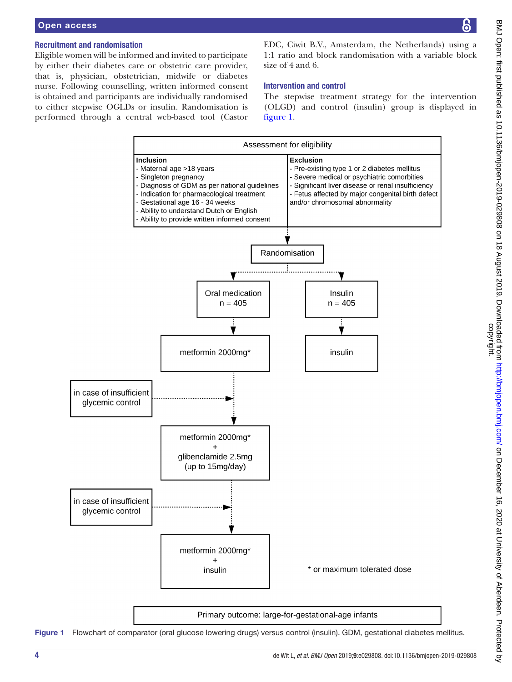#### Recruitment and randomisation

Eligible women will be informed and invited to participate by either their diabetes care or obstetric care provider, that is, physician, obstetrician, midwife or diabetes nurse. Following counselling, written informed consent is obtained and participants are individually randomised to either stepwise OGLDs or insulin. Randomisation is performed through a central web-based tool (Castor EDC, Ciwit B.V., Amsterdam, the Netherlands) using a 1:1 ratio and block randomisation with a variable block size of 4 and 6.

#### Intervention and control

The stepwise treatment strategy for the intervention (OLGD) and control (insulin) group is displayed in [figure](#page-3-0) 1.



<span id="page-3-0"></span>Figure 1 Flowchart of comparator (oral glucose lowering drugs) versus control (insulin). GDM, gestational diabetes mellitus.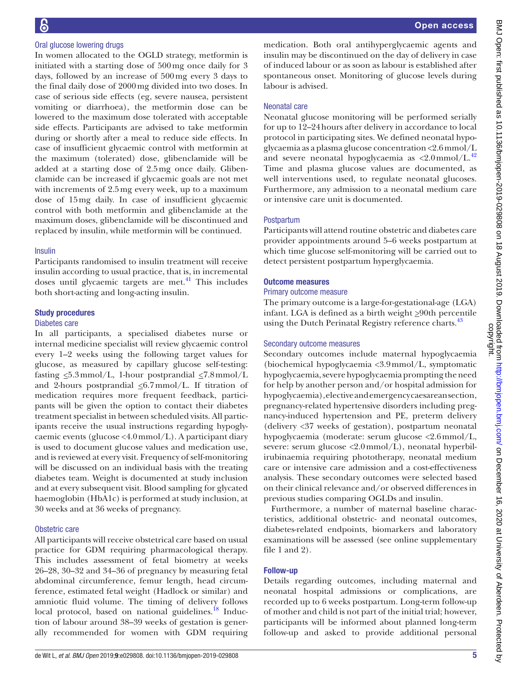#### Oral glucose lowering drugs

In women allocated to the OGLD strategy, metformin is initiated with a starting dose of 500mg once daily for 3 days, followed by an increase of 500mg every 3 days to the final daily dose of 2000mg divided into two doses. In case of serious side effects (eg, severe nausea, persistent vomiting or diarrhoea), the metformin dose can be lowered to the maximum dose tolerated with acceptable side effects. Participants are advised to take metformin during or shortly after a meal to reduce side effects. In case of insufficient glycaemic control with metformin at the maximum (tolerated) dose, glibenclamide will be added at a starting dose of 2.5mg once daily. Glibenclamide can be increased if glycaemic goals are not met with increments of 2.5mg every week, up to a maximum dose of 15mg daily. In case of insufficient glycaemic control with both metformin and glibenclamide at the maximum doses, glibenclamide will be discontinued and replaced by insulin, while metformin will be continued.

#### Insulin

Participants randomised to insulin treatment will receive insulin according to usual practice, that is, in incremental doses until glycaemic targets are met. $41$  This includes both short-acting and long-acting insulin.

#### Study procedures

#### Diabetes care

In all participants, a specialised diabetes nurse or internal medicine specialist will review glycaemic control every 1–2 weeks using the following target values for glucose, as measured by capillary glucose self-testing: fasting  $\leq 5.3$  mmol/L, 1-hour postprandial  $\leq 7.8$  mmol/L and 2-hours postprandial  $\leq 6.7$  mmol/L. If titration of medication requires more frequent feedback, participants will be given the option to contact their diabetes treatment specialist in between scheduled visits. All participants receive the usual instructions regarding hypoglycaemic events (glucose <4.0mmol/L). A participant diary is used to document glucose values and medication use, and is reviewed at every visit. Frequency of self-monitoring will be discussed on an individual basis with the treating diabetes team. Weight is documented at study inclusion and at every subsequent visit. Blood sampling for glycated haemoglobin (HbA1c) is performed at study inclusion, at 30 weeks and at 36 weeks of pregnancy.

#### Obstetric care

All participants will receive obstetrical care based on usual practice for GDM requiring pharmacological therapy. This includes assessment of fetal biometry at weeks 26–28, 30–32 and 34–36 of pregnancy by measuring fetal abdominal circumference, femur length, head circumference, estimated fetal weight (Hadlock or similar) and amniotic fluid volume. The timing of delivery follows local protocol, based on national guidelines. $^{18}$  Induction of labour around 38–39 weeks of gestation is generally recommended for women with GDM requiring

medication. Both oral antihyperglycaemic agents and insulin may be discontinued on the day of delivery in case of induced labour or as soon as labour is established after spontaneous onset. Monitoring of glucose levels during labour is advised.

#### Neonatal care

Neonatal glucose monitoring will be performed serially for up to 12–24hours after delivery in accordance to local protocol in participating sites. We defined neonatal hypoglycaemia as a plasma glucose concentration <2.6mmol/L and severe neonatal hypoglycaemia as  $\langle 2.0 \text{mmol/L}^{42} \rangle$  $\langle 2.0 \text{mmol/L}^{42} \rangle$  $\langle 2.0 \text{mmol/L}^{42} \rangle$ Time and plasma glucose values are documented, as well interventions used, to regulate neonatal glucoses. Furthermore, any admission to a neonatal medium care or intensive care unit is documented.

#### Postpartum

Participants will attend routine obstetric and diabetes care provider appointments around 5–6 weeks postpartum at which time glucose self-monitoring will be carried out to detect persistent postpartum hyperglycaemia.

#### Outcome measures

#### Primary outcome measure

The primary outcome is a large-for-gestational-age (LGA) infant. LGA is defined as a birth weight  $\geq 90$ th percentile using the Dutch Perinatal Registry reference charts.<sup>[43](#page-8-17)</sup>

#### Secondary outcome measures

Secondary outcomes include maternal hypoglycaemia (biochemical hypoglycaemia <3.9mmol/L, symptomatic hypoglycaemia, severe hypoglycaemia prompting the need for help by another person and/or hospital admission for hypoglycaemia), elective and emergency caesarean section, pregnancy-related hypertensive disorders including pregnancy-induced hypertension and PE, preterm delivery (delivery <37 weeks of gestation), postpartum neonatal hypoglycaemia (moderate: serum glucose <2.6mmol/L, severe: serum glucose  $\langle 2.0 \text{mmol/L} \rangle$ , neonatal hyperbilirubinaemia requiring phototherapy, neonatal medium care or intensive care admission and a cost-effectiveness analysis. These secondary outcomes were selected based on their clinical relevance and/or observed differences in previous studies comparing OGLDs and insulin.

Furthermore, a number of maternal baseline characteristics, additional obstetric- and neonatal outcomes, diabetes-related endpoints, biomarkers and laboratory examinations will be assessed (see online [supplementary](https://dx.doi.org/10.1136/bmjopen-2019-029808)  [file 1 and 2](https://dx.doi.org/10.1136/bmjopen-2019-029808)).

#### Follow-up

Details regarding outcomes, including maternal and neonatal hospital admissions or complications, are recorded up to 6 weeks postpartum. Long-term follow-up of mother and child is not part of the initial trial; however, participants will be informed about planned long-term follow-up and asked to provide additional personal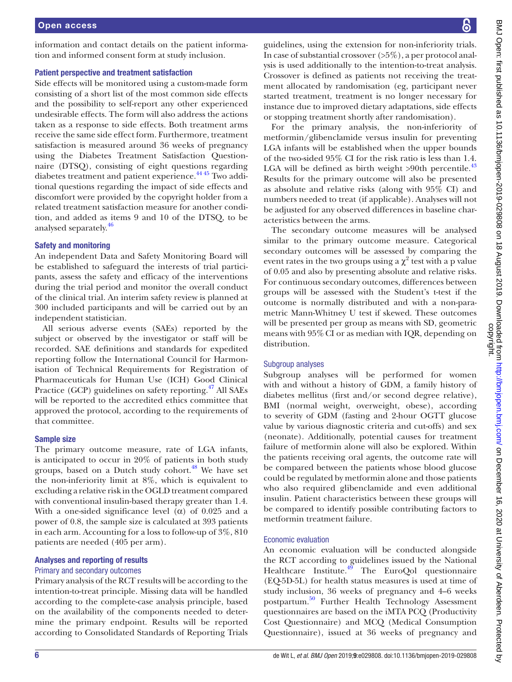information and contact details on the patient information and informed consent form at study inclusion.

#### Patient perspective and treatment satisfaction

Side effects will be monitored using a custom-made form consisting of a short list of the most common side effects and the possibility to self-report any other experienced undesirable effects. The form will also address the actions taken as a response to side effects. Both treatment arms receive the same side effect form. Furthermore, treatment satisfaction is measured around 36 weeks of pregnancy using the Diabetes Treatment Satisfaction Questionnaire (DTSQ), consisting of eight questions regarding diabetes treatment and patient experience.<sup>44 45</sup> Two additional questions regarding the impact of side effects and discomfort were provided by the copyright holder from a related treatment satisfaction measure for another condition, and added as items 9 and 10 of the DTSQ, to be analysed separately.<sup>[46](#page-8-19)</sup>

#### Safety and monitoring

An independent Data and Safety Monitoring Board will be established to safeguard the interests of trial participants, assess the safety and efficacy of the interventions during the trial period and monitor the overall conduct of the clinical trial. An interim safety review is planned at 300 included participants and will be carried out by an independent statistician.

All serious adverse events (SAEs) reported by the subject or observed by the investigator or staff will be recorded. SAE definitions and standards for expedited reporting follow the International Council for Harmonisation of Technical Requirements for Registration of Pharmaceuticals for Human Use (ICH) Good Clinical Practice (GCP) guidelines on safety reporting.<sup>[47](#page-8-20)</sup> All SAEs will be reported to the accredited ethics committee that approved the protocol, according to the requirements of that committee.

#### Sample size

The primary outcome measure, rate of LGA infants, is anticipated to occur in 20% of patients in both study groups, based on a Dutch study cohort.<sup>48</sup> We have set the non-inferiority limit at 8%, which is equivalent to excluding a relative risk in the OGLD treatment compared with conventional insulin-based therapy greater than 1.4. With a one-sided significance level ( $\alpha$ ) of 0.025 and a power of 0.8, the sample size is calculated at 393 patients in each arm. Accounting for a loss to follow-up of 3%, 810 patients are needed (405 per arm).

#### Analyses and reporting of results

#### Primary and secondary outcomes

Primary analysis of the RCT results will be according to the intention-to-treat principle. Missing data will be handled according to the complete-case analysis principle, based on the availability of the components needed to determine the primary endpoint. Results will be reported according to Consolidated Standards of Reporting Trials

guidelines, using the extension for non-inferiority trials. In case of substantial crossover  $(55\%)$ , a per protocol analysis is used additionally to the intention-to-treat analysis. Crossover is defined as patients not receiving the treatment allocated by randomisation (eg, participant never started treatment, treatment is no longer necessary for instance due to improved dietary adaptations, side effects or stopping treatment shortly after randomisation).

For the primary analysis, the non-inferiority of metformin/glibenclamide versus insulin for preventing LGA infants will be established when the upper bounds of the two-sided 95% CI for the risk ratio is less than 1.4. LGA will be defined as birth weight  $>90$ th percentile.<sup>[43](#page-8-17)</sup> Results for the primary outcome will also be presented as absolute and relative risks (along with 95% CI) and numbers needed to treat (if applicable). Analyses will not be adjusted for any observed differences in baseline characteristics between the arms.

The secondary outcome measures will be analysed similar to the primary outcome measure. Categorical secondary outcomes will be assessed by comparing the event rates in the two groups using a  $\chi^2$  test with a p value of 0.05 and also by presenting absolute and relative risks. For continuous secondary outcomes, differences between groups will be assessed with the Student's t-test if the outcome is normally distributed and with a non-parametric Mann-Whitney U test if skewed. These outcomes will be presented per group as means with SD, geometric means with 95%CI or as median with IQR, depending on distribution.

#### Subgroup analyses

Subgroup analyses will be performed for women with and without a history of GDM, a family history of diabetes mellitus (first and/or second degree relative), BMI (normal weight, overweight, obese), according to severity of GDM (fasting and 2-hour OGTT glucose value by various diagnostic criteria and cut-offs) and sex (neonate). Additionally, potential causes for treatment failure of metformin alone will also be explored. Within the patients receiving oral agents, the outcome rate will be compared between the patients whose blood glucose could be regulated by metformin alone and those patients who also required glibenclamide and even additional insulin. Patient characteristics between these groups will be compared to identify possible contributing factors to metformin treatment failure.

#### Economic evaluation

An economic evaluation will be conducted alongside the RCT according to guidelines issued by the National Healthcare Institute.<sup>49</sup> The EuroQol questionnaire (EQ-5D-5L) for health status measures is used at time of study inclusion, 36 weeks of pregnancy and 4–6 weeks postpartum.[50](#page-8-23) Further Health Technology Assessment questionnaires are based on the iMTA PCQ (Productivity Cost Questionnaire) and MCQ (Medical Consumption Questionnaire), issued at 36 weeks of pregnancy and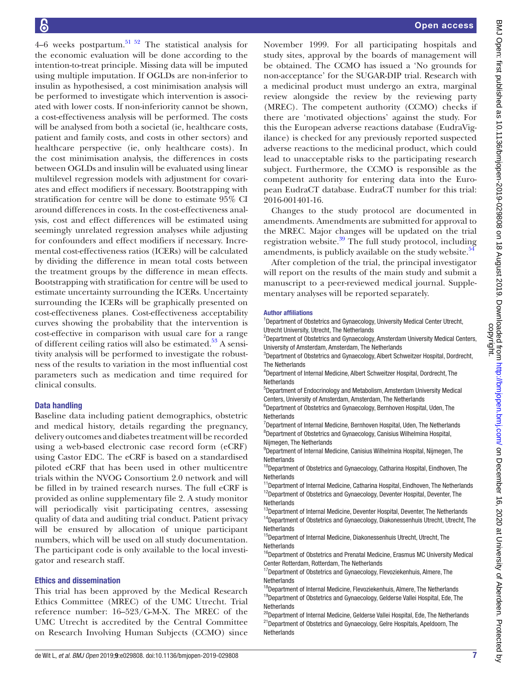4–6 weeks postpartum.<sup>[51 52](#page-8-24)</sup> The statistical analysis for the economic evaluation will be done according to the intention-to-treat principle. Missing data will be imputed using multiple imputation. If OGLDs are non-inferior to insulin as hypothesised, a cost minimisation analysis will be performed to investigate which intervention is associated with lower costs. If non-inferiority cannot be shown, a cost-effectiveness analysis will be performed. The costs will be analysed from both a societal (ie, healthcare costs, patient and family costs, and costs in other sectors) and healthcare perspective (ie, only healthcare costs). In the cost minimisation analysis, the differences in costs between OGLDs and insulin will be evaluated using linear multilevel regression models with adjustment for covariates and effect modifiers if necessary. Bootstrapping with stratification for centre will be done to estimate 95% CI around differences in costs. In the cost-effectiveness analysis, cost and effect differences will be estimated using seemingly unrelated regression analyses while adjusting for confounders and effect modifiers if necessary. Incremental cost-effectiveness ratios (ICERs) will be calculated by dividing the difference in mean total costs between the treatment groups by the difference in mean effects. Bootstrapping with stratification for centre will be used to estimate uncertainty surrounding the ICERs. Uncertainty surrounding the ICERs will be graphically presented on cost-effectiveness planes. Cost-effectiveness acceptability curves showing the probability that the intervention is cost-effective in comparison with usual care for a range of different ceiling ratios will also be estimated.<sup>53</sup> A sensitivity analysis will be performed to investigate the robustness of the results to variation in the most influential cost parameters such as medication and time required for clinical consults.

#### Data handling

Baseline data including patient demographics, obstetric and medical history, details regarding the pregnancy, delivery outcomes and diabetes treatment will be recorded using a web-based electronic case record form (eCRF) using Castor EDC. The eCRF is based on a standardised piloted eCRF that has been used in other multicentre trials within the NVOG Consortium 2.0 network and will be filled in by trained research nurses. The full eCRF is provided as online supplementary file 2. A study monitor will periodically visit participating centres, assessing quality of data and auditing trial conduct. Patient privacy will be ensured by allocation of unique participant numbers, which will be used on all study documentation. The participant code is only available to the local investigator and research staff.

#### Ethics and dissemination

This trial has been approved by the Medical Research Ethics Committee (MREC) of the UMC Utrecht. Trial reference number: 16–523/G-M-X. The MREC of the UMC Utrecht is accredited by the Central Committee on Research Involving Human Subjects (CCMO) since

November 1999. For all participating hospitals and study sites, approval by the boards of management will be obtained. The CCMO has issued a 'No grounds for non-acceptance' for the SUGAR-DIP trial. Research with a medicinal product must undergo an extra, marginal review alongside the review by the reviewing party (MREC). The competent authority (CCMO) checks if there are 'motivated objections' against the study. For this the European adverse reactions database (EudraVigilance) is checked for any previously reported suspected adverse reactions to the medicinal product, which could lead to unacceptable risks to the participating research subject. Furthermore, the CCMO is responsible as the competent authority for entering data into the European EudraCT database. EudraCT number for this trial: 2016-001401-16.

Changes to the study protocol are documented in amendments. Amendments are submitted for approval to the MREC. Major changes will be updated on the trial registration website.[39](#page-8-13) The full study protocol, including amendments, is publicly available on the study website. $54$ 

After completion of the trial, the principal investigator will report on the results of the main study and submit a manuscript to a peer-reviewed medical journal. Supplementary analyses will be reported separately.

#### Author affiliations

<sup>1</sup>Department of Obstetrics and Gynaecology, University Medical Center Utrecht, Utrecht University, Utrecht, The Netherlands

<sup>2</sup>Department of Obstetrics and Gynaecology, Amsterdam University Medical Centers, University of Amsterdam, Amsterdam, The Netherlands

<sup>3</sup>Department of Obstetrics and Gynaecology, Albert Schweitzer Hospital, Dordrecht, The Netherlands

4 Department of Internal Medicine, Albert Schweitzer Hospital, Dordrecht, The Netherlands

5 Department of Endocrinology and Metabolism, Amsterdam University Medical Centers, University of Amsterdam, Amsterdam, The Netherlands

6 Department of Obstetrics and Gynaecology, Bernhoven Hospital, Uden, The **Netherlands** 

<sup>7</sup>Department of Internal Medicine, Bernhoven Hospital, Uden, The Netherlands 8 Department of Obstetrics and Gynaecology, Canisius Wilhelmina Hospital, Nijmegen, The Netherlands

9 Department of Internal Medicine, Canisius Wilhelmina Hospital, Nijmegen, The **Netherlands** 

<sup>10</sup>Department of Obstetrics and Gynaecology, Catharina Hospital, Eindhoven, The **Netherlands** 

 $11$ Department of Internal Medicine, Catharina Hospital, Eindhoven, The Netherlands <sup>12</sup>Department of Obstetrics and Gynaecology, Deventer Hospital, Deventer, The **Netherlands** 

<sup>13</sup>Department of Internal Medicine, Deventer Hospital, Deventer, The Netherlands

<sup>14</sup>Department of Obstetrics and Gynaecology, Diakonessenhuis Utrecht, Utrecht, The Netherlands

<sup>15</sup>Department of Internal Medicine, Diakonessenhuis Utrecht, Utrecht, The **Netherlands** 

<sup>16</sup>Department of Obstetrics and Prenatal Medicine, Erasmus MC University Medical Center Rotterdam, Rotterdam, The Netherlands

<sup>17</sup>Department of Obstetrics and Gynaecology, Flevoziekenhuis, Almere, The **Netherlands** 

<sup>18</sup>Department of Internal Medicine, Flevoziekenhuis, Almere, The Netherlands <sup>19</sup>Department of Obstetrics and Gynaecology, Gelderse Vallei Hospital, Ede, The **Netherlands** 

<sup>20</sup>Department of Internal Medicine, Gelderse Vallei Hospital, Ede, The Netherlands <sup>21</sup>Department of Obstetrics and Gynaecology, Gelre Hospitals, Apeldoorn, The **Netherlands**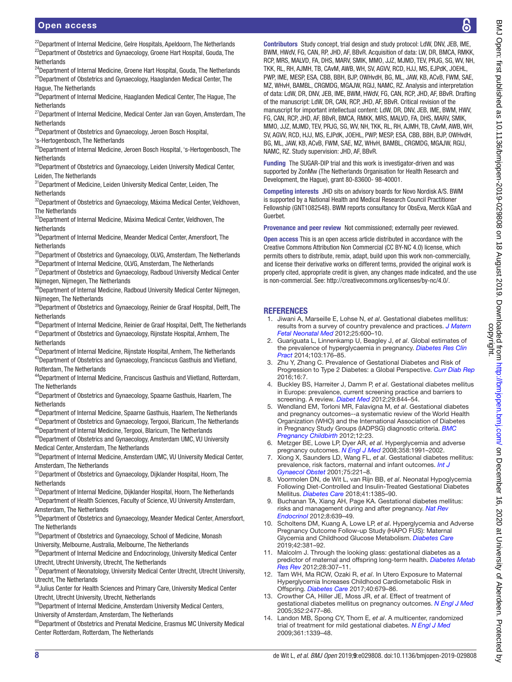<sup>22</sup>Department of Internal Medicine, Gelre Hospitals, Apeldoorn, The Netherlands <sup>23</sup>Department of Obstetrics and Gynaecology, Groene Hart Hospital, Gouda, The **Netherlands** 

<sup>24</sup>Department of Internal Medicine, Groene Hart Hospital, Gouda, The Netherlands  $25$ Department of Obstetrics and Gynaecology, Haaglanden Medical Center, The Hague, The Netherlands

<sup>26</sup>Department of Internal Medicine, Haaglanden Medical Center, The Hague, The Netherlands

 $27$ Department of Internal Medicine, Medical Center Jan van Goven, Amsterdam, The **Netherlands** 

28Department of Obstetrics and Gynaecology, Jeroen Bosch Hospital,

's-Hertogenbosch, The Netherlands

29Department of Internal Medicine, Jeroen Bosch Hospital, 's-Hertogenbosch, The **Netherlands** 

<sup>30</sup>Department of Obstetrics and Gynaecology, Leiden University Medical Center, Leiden, The Netherlands

<sup>31</sup>Department of Medicine, Leiden University Medical Center, Leiden, The **Netherlands** 

<sup>32</sup>Department of Obstetrics and Gynaecology, Máxima Medical Center, Veldhoven, The Netherlands

<sup>33</sup>Department of Internal Medicine, Máxima Medical Center, Veldhoven, The Netherlands

<sup>34</sup>Department of Internal Medicine, Meander Medical Center, Amersfoort, The **Netherlands** 

<sup>35</sup>Department of Obstetrics and Gynaecology, OLVG, Amsterdam, The Netherlands  ${}^{36}$ Department of Internal Medicine, OLVG, Amsterdam, The Netherlands

 $37$ Department of Obstetrics and Gynaecology, Radboud University Medical Center Nijmegen, Nijmegen, The Netherlands

<sup>38</sup>Department of Internal Medicine, Radboud University Medical Center Nijmegen, Nijmegen, The Netherlands

<sup>39</sup>Department of Obstetrics and Gynaecology, Reinier de Graaf Hospital, Delft, The **Netherlands** 

<sup>40</sup>Department of Internal Medicine, Reinier de Graaf Hospital, Delft, The Netherlands 41Department of Obstetrics and Gynaecology, Rijnstate Hospital, Arnhem, The Netherlands

<sup>42</sup>Department of Internal Medicine, Rijnstate Hospital, Arnhem, The Netherlands <sup>43</sup>Department of Obstetrics and Gynaecology, Franciscus Gasthuis and Vlietland, Rotterdam, The Netherlands

44Department of Internal Medicine, Franciscus Gasthuis and Vlietland, Rotterdam, The Netherlands

45Department of Obstetrics and Gynaecology, Spaarne Gasthuis, Haarlem, The **Netherlands** 

46Department of Internal Medicine, Spaarne Gasthuis, Haarlem, The Netherlands

 $47$ Department of Obstetrics and Gynaecology, Tergooi, Blaricum, The Netherlands 48Department of Internal Medicine, Tergooi, Blaricum, The Netherlands

49Department of Obstetrics and Gynaecology, Amsterdam UMC, VU University Medical Center, Amsterdam, The Netherlands

<sup>50</sup>Department of Internal Medicine, Amsterdam UMC, VU University Medical Center, Amsterdam, The Netherlands

51Department of Obstetrics and Gynaecology, Dijklander Hospital, Hoorn, The **Netherlands** 

<sup>52</sup>Department of Internal Medicine, Dijklander Hospital, Hoorn, The Netherlands <sup>53</sup>Department of Health Sciences, Faculty of Science, VU University Amsterdam, Amsterdam, The Netherlands

<sup>54</sup>Department of Obstetrics and Gynaecology, Meander Medical Center, Amersfoort, The Netherlands

55Department of Obstetrics and Gynaecology, School of Medicine, Monash University, Melbourne, Australia, Melbourne, The Netherlands

56Department of Internal Medicine and Endocrinology, University Medical Center Utrecht, Utrecht University, Utrecht, The Netherlands

<sup>57</sup>Department of Neonatology, University Medical Center Utrecht, Utrecht University, Utrecht, The Netherlands

58 Julius Center for Health Sciences and Primary Care, University Medical Center Utrecht, Utrecht University, Utrecht, Netherlands

59 Department of Internal Medicine, Amsterdam University Medical Centers, University of Amsterdam, Amsterdam, The Netherlands

<sup>60</sup>Department of Obstetrics and Prenatal Medicine, Erasmus MC University Medical Center Rotterdam, Rotterdam, The Netherlands

Contributors Study concept, trial design and study protocol: LdW, DNV, JEB, IME, BWM, HWdV, FG, CAN, RP, JHD, AF, BBvR. Acquisition of data: LW, DR, BMCA, RMKK, RCP, MRS, MALVD, FA, DHS, MARV, SMIK, MMO, JJZ, MJMD, TEV, PRJG, SG, WV, NH, TKK, RL, RH, AJMH, TB, CAvM, AWB, WH, SV, AGVV, RCD, HJJ, MS, EJPdK, JOEHL, PWP, IME, MESP, ESA, CBB, BBH, BJP, OWHvdH, BG, ML, JAW, KB, ACvB, FWM, SAE, MZ, WHvH, BAMBL, CRGMDG, MGAJW, RGIJ, NAMC, RZ. Analysis and interpretation of data: LdW, DR, DNV, JEB, IME, BWM, HWdV, FG, CAN, RCP, JHD, AF, BBvR. Drafting of the manuscript: LdW, DR, CAN, RCP, JHD, AF, BBvR. Critical revision of the manuscript for important intellectual content: LdW, DR, DNV, JEB, IME, BWM, HWV, FG, CAN, RCP, JHD, AF, BBvR, BMCA, RMKK, MRS, MALVD, FA, DHS, MARV, SMIK, MMO, JJZ, MJMD, TEV, PRJG, SG, WV, NH, TKK, RL, RH, AJMH, TB, CAvM, AWB, WH, SV, AGVV, RCD, HJJ, MS, EJPdK, JOEHL, PWP, MESP, ESA, CBB, BBH, BJP, OWHvdH, BG, ML, JAW, KB, ACvB, FWM, SAE, MZ, WHvH, BAMBL, CRGMDG, MGAJW, RGIJ, NAMC, RZ. Study supervision: JHD, AF, BBvR.

Funding The SUGAR-DIP trial and this work is investigator-driven and was supported by ZonMw (The Netherlands Organisation for Health Research and Development, the Hague), grant 80-83600- 98-40001.

Competing interests JHD sits on advisory boards for Novo Nordisk A/S. BWM is supported by a National Health and Medical Research Council Practitioner Fellowship (GNT1082548). BWM reports consultancy for ObsEva, Merck KGaA and Guerbet.

Provenance and peer review Not commissioned; externally peer reviewed.

Open access This is an open access article distributed in accordance with the Creative Commons Attribution Non Commercial (CC BY-NC 4.0) license, which permits others to distribute, remix, adapt, build upon this work non-commercially, and license their derivative works on different terms, provided the original work is properly cited, appropriate credit is given, any changes made indicated, and the use is non-commercial. See: [http://creativecommons.org/licenses/by-nc/4.0/.](http://creativecommons.org/licenses/by-nc/4.0/)

#### **REFERENCES**

- <span id="page-7-0"></span>1. Jiwani A, Marseille E, Lohse N, *et al*. Gestational diabetes mellitus: results from a survey of country prevalence and practices. *[J Matern](http://dx.doi.org/10.3109/14767058.2011.587921)  [Fetal Neonatal Med](http://dx.doi.org/10.3109/14767058.2011.587921)* 2012;25:600–10.
- 2. Guariguata L, Linnenkamp U, Beagley J, *et al*. Global estimates of the prevalence of hyperglycaemia in pregnancy. *[Diabetes Res Clin](http://dx.doi.org/10.1016/j.diabres.2013.11.003)  [Pract](http://dx.doi.org/10.1016/j.diabres.2013.11.003)* 2014;103:176–85.
- 3. Zhu Y, Zhang C. Prevalence of Gestational Diabetes and Risk of Progression to Type 2 Diabetes: a Global Perspective. *[Curr Diab Rep](http://dx.doi.org/10.1007/s11892-015-0699-x)* 2016;16:7.
- 4. Buckley BS, Harreiter J, Damm P, *et al*. Gestational diabetes mellitus in Europe: prevalence, current screening practice and barriers to screening. A review. *[Diabet Med](http://dx.doi.org/10.1111/j.1464-5491.2011.03541.x)* 2012;29:844–54.
- <span id="page-7-1"></span>5. Wendland EM, Torloni MR, Falavigna M, *et al*. Gestational diabetes and pregnancy outcomes--a systematic review of the World Health Organization (WHO) and the International Association of Diabetes in Pregnancy Study Groups (IADPSG) diagnostic criteria. *[BMC](http://dx.doi.org/10.1186/1471-2393-12-23)  [Pregnancy Childbirth](http://dx.doi.org/10.1186/1471-2393-12-23)* 2012;12:23.
- 6. Metzger BE, Lowe LP, Dyer AR, *et al*. Hyperglycemia and adverse pregnancy outcomes. *[N Engl J Med](http://dx.doi.org/10.1056/NEJMoa0707943)* 2008;358:1991–2002.
- 7. Xiong X, Saunders LD, Wang FL, *et al*. Gestational diabetes mellitus: prevalence, risk factors, maternal and infant outcomes. *[Int J](http://dx.doi.org/10.1016/S0020-7292(01)00496-9)  [Gynaecol Obstet](http://dx.doi.org/10.1016/S0020-7292(01)00496-9)* 2001;75:221–8.
- 8. Voormolen DN, de Wit L, van Rijn BB, *et al*. Neonatal Hypoglycemia Following Diet-Controlled and Insulin-Treated Gestational Diabetes Mellitus. *[Diabetes Care](http://dx.doi.org/10.2337/dc18-0048)* 2018;41:1385–90.
- 9. Buchanan TA, Xiang AH, Page KA. Gestational diabetes mellitus: risks and management during and after pregnancy. *[Nat Rev](http://dx.doi.org/10.1038/nrendo.2012.96)  [Endocrinol](http://dx.doi.org/10.1038/nrendo.2012.96)* 2012;8:639–49.
- <span id="page-7-2"></span>10. Scholtens DM, Kuang A, Lowe LP, *et al*. Hyperglycemia and Adverse Pregnancy Outcome Follow-up Study (HAPO FUS): Maternal Glycemia and Childhood Glucose Metabolism. *[Diabetes Care](http://dx.doi.org/10.2337/dc18-2021)* 2019;42:381–92.
- 11. Malcolm J. Through the looking glass: gestational diabetes as a predictor of maternal and offspring long-term health. *[Diabetes Metab](http://dx.doi.org/10.1002/dmrr.2275)  [Res Rev](http://dx.doi.org/10.1002/dmrr.2275)* 2012;28:307–11.
- 12. Tam WH, Ma RCW, Ozaki R, *et al*. In Utero Exposure to Maternal Hyperglycemia Increases Childhood Cardiometabolic Risk in Offspring. *[Diabetes Care](http://dx.doi.org/10.2337/dc16-2397)* 2017;40:679–86.
- <span id="page-7-3"></span>13. Crowther CA, Hiller JE, Moss JR, *et al*. Effect of treatment of gestational diabetes mellitus on pregnancy outcomes. *[N Engl J Med](http://dx.doi.org/10.1056/NEJMoa042973)* 2005;352:2477–86.
- 14. Landon MB, Spong CY, Thom E, *et al*. A multicenter, randomized trial of treatment for mild gestational diabetes. *[N Engl J Med](http://dx.doi.org/10.1056/NEJMoa0902430)* 2009;361:1339–48.